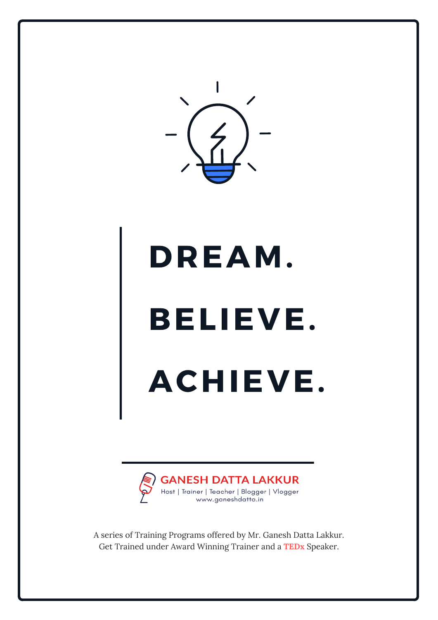

# DREAM.

# BELIEVE.

# ACHIEVE.



A series of Training Programs offered by Mr. Ganesh Datta Lakkur. Get Trained under Award Winning Trainer and a **TEDx** Speaker.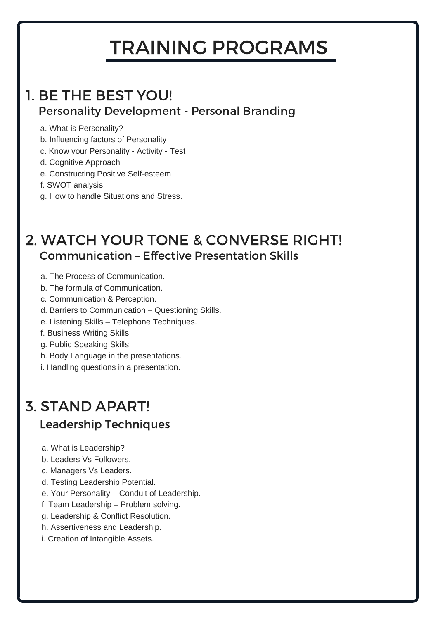## TRAINING PROGRAMS

#### Personality Development - Personal Branding 1. BE THE BEST YOU!

- a. What is Personality?
- b. Influencing factors of Personality
- c. Know your Personality Activity Test
- d. Cognitive Approach
- e. Constructing Positive Self-esteem
- f. SWOT analysis
- g. How to handle Situations and Stress.

#### 2. WATCH YOUR TONE & CONVERSE RIGHT! Communication – Effective Presentation Skills

a. The Process of Communication.

- b. The formula of Communication.
- c. Communication & Perception.
- d. Barriers to Communication Questioning Skills.
- e. Listening Skills Telephone Techniques.
- 

f. Business Writing Skills.

- g. Public Speaking Skills.
- h. Body Language in the presentations.
- i. Handling questions in a presentation.

### 3. STAND APART! Leadership Techniques

- a. What is Leadership?
- b. Leaders Vs Followers.
- c. Managers Vs Leaders.
- d. Testing Leadership Potential.
- e. Your Personality Conduit of Leadership.
- f. Team Leadership Problem solving.
- g. Leadership & Conflict Resolution.
- h. Assertiveness and Leadership.
- i. Creation of Intangible Assets.